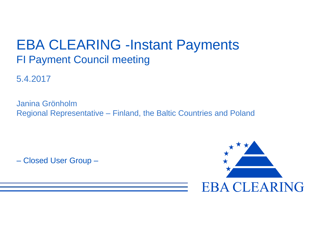# EBA CLEARING -Instant Payments FI Payment Council meeting

5.4.2017

Janina Grönholm Regional Representative – Finland, the Baltic Countries and Poland

– Closed User Group –

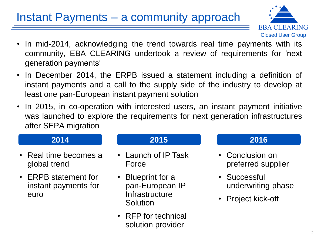# Instant Payments – a community approach



- In mid-2014, acknowledging the trend towards real time payments with its community, EBA CLEARING undertook a review of requirements for 'next generation payments'
- In December 2014, the ERPB issued a statement including a definition of instant payments and a call to the supply side of the industry to develop at least one pan-European instant payment solution
- In 2015, in co-operation with interested users, an instant payment initiative was launched to explore the requirements for next generation infrastructures after SEPA migration

- Real time becomes a global trend
- ERPB statement for instant payments for euro

- Launch of IP Task Force
- Blueprint for a pan-European IP **Infrastructure Solution**
- RFP for technical solution provider

### **2014 2015 2016**

- Conclusion on preferred supplier
- Successful underwriting phase
- Project kick-off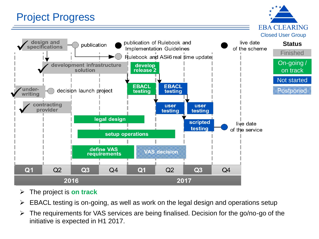## Project Progress

**EBA CLEARING** Closed User Group



- The project is **on track**
- $\triangleright$  EBACL testing is on-going, as well as work on the legal design and operations setup
- $\triangleright$  The requirements for VAS services are being finalised. Decision for the go/no-go of the initiative is expected in H1 2017.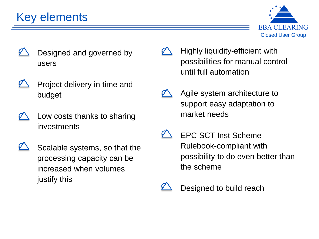# Key elements



- Designed and governed by users
- Project delivery in time and budget
- Low costs thanks to sharing investments
- 
- Scalable systems, so that the processing capacity can be increased when volumes justify this
- Highly liquidity-efficient with possibilities for manual control until full automation
- Agile system architecture to support easy adaptation to market needs
- EPC SCT Inst Scheme Rulebook-compliant with possibility to do even better than the scheme
- Designed to build reach